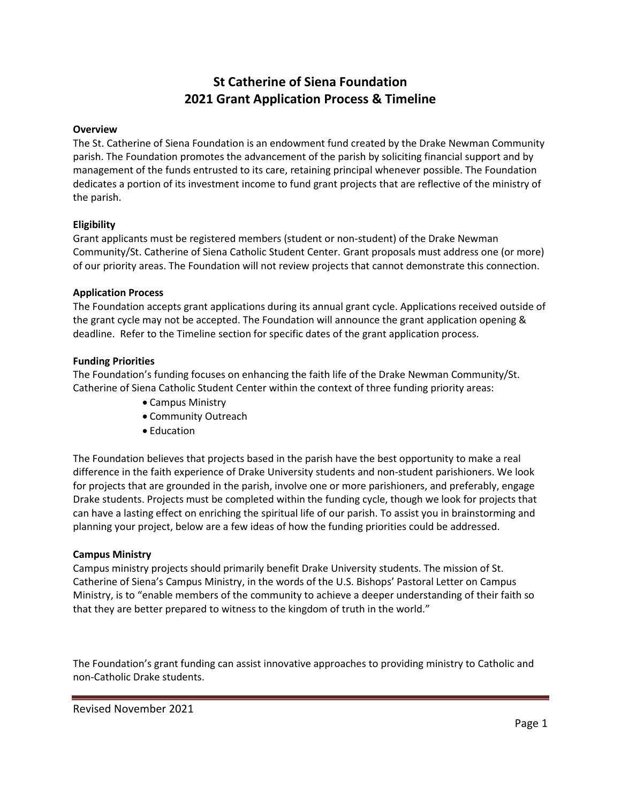# **St Catherine of Siena Foundation 2021 Grant Application Process & Timeline**

#### **Overview**

The St. Catherine of Siena Foundation is an endowment fund created by the Drake Newman Community parish. The Foundation promotes the advancement of the parish by soliciting financial support and by management of the funds entrusted to its care, retaining principal whenever possible. The Foundation dedicates a portion of its investment income to fund grant projects that are reflective of the ministry of the parish.

#### **Eligibility**

Grant applicants must be registered members (student or non-student) of the Drake Newman Community/St. Catherine of Siena Catholic Student Center. Grant proposals must address one (or more) of our priority areas. The Foundation will not review projects that cannot demonstrate this connection.

#### **Application Process**

The Foundation accepts grant applications during its annual grant cycle. Applications received outside of the grant cycle may not be accepted. The Foundation will announce the grant application opening & deadline. Refer to the Timeline section for specific dates of the grant application process.

#### **Funding Priorities**

The Foundation's funding focuses on enhancing the faith life of the Drake Newman Community/St. Catherine of Siena Catholic Student Center within the context of three funding priority areas:

- Campus Ministry
- Community Outreach
- Education

The Foundation believes that projects based in the parish have the best opportunity to make a real difference in the faith experience of Drake University students and non-student parishioners. We look for projects that are grounded in the parish, involve one or more parishioners, and preferably, engage Drake students. Projects must be completed within the funding cycle, though we look for projects that can have a lasting effect on enriching the spiritual life of our parish. To assist you in brainstorming and planning your project, below are a few ideas of how the funding priorities could be addressed.

#### **Campus Ministry**

Campus ministry projects should primarily benefit Drake University students. The mission of St. Catherine of Siena's Campus Ministry, in the words of the U.S. Bishops' Pastoral Letter on Campus Ministry, is to "enable members of the community to achieve a deeper understanding of their faith so that they are better prepared to witness to the kingdom of truth in the world."

The Foundation's grant funding can assist innovative approaches to providing ministry to Catholic and non-Catholic Drake students.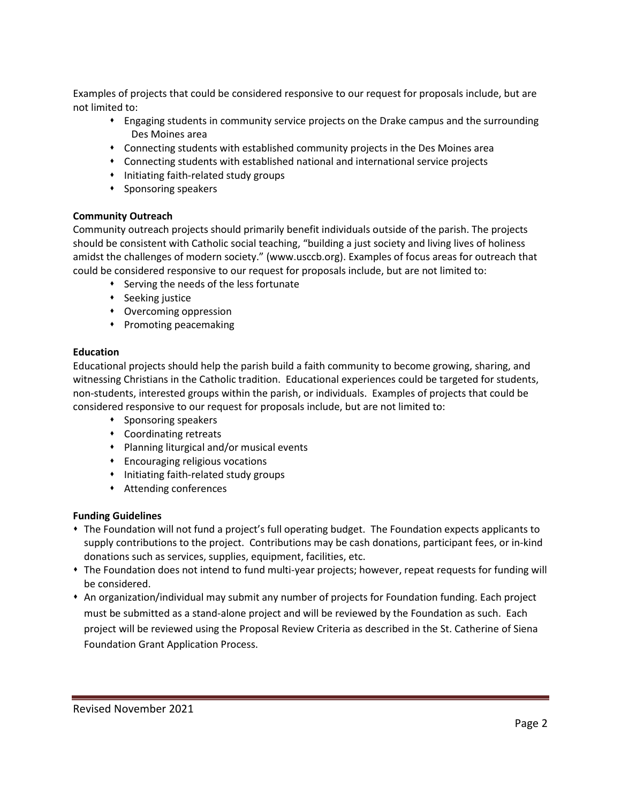Examples of projects that could be considered responsive to our request for proposals include, but are not limited to:

- ⬧ Engaging students in community service projects on the Drake campus and the surrounding Des Moines area
- ⬧ Connecting students with established community projects in the Des Moines area
- ⬧ Connecting students with established national and international service projects
- ⬧ Initiating faith-related study groups
- ⬧ Sponsoring speakers

# **Community Outreach**

Community outreach projects should primarily benefit individuals outside of the parish. The projects should be consistent with Catholic social teaching, "building a just society and living lives of holiness amidst the challenges of modern society." (www.usccb.org). Examples of focus areas for outreach that could be considered responsive to our request for proposals include, but are not limited to:

- ⬧ Serving the needs of the less fortunate
- ⬧ Seeking justice
- ⬧ Overcoming oppression
- ⬧ Promoting peacemaking

# **Education**

Educational projects should help the parish build a faith community to become growing, sharing, and witnessing Christians in the Catholic tradition. Educational experiences could be targeted for students, non-students, interested groups within the parish, or individuals. Examples of projects that could be considered responsive to our request for proposals include, but are not limited to:

- ⬧ Sponsoring speakers
- ⬧ Coordinating retreats
- ⬧ Planning liturgical and/or musical events
- ⬧ Encouraging religious vocations
- ⬧ Initiating faith-related study groups
- ⬧ Attending conferences

# **Funding Guidelines**

- ⬧ The Foundation will not fund a project's full operating budget. The Foundation expects applicants to supply contributions to the project. Contributions may be cash donations, participant fees, or in-kind donations such as services, supplies, equipment, facilities, etc.
- ⬧ The Foundation does not intend to fund multi-year projects; however, repeat requests for funding will be considered.
- ⬧ An organization/individual may submit any number of projects for Foundation funding. Each project must be submitted as a stand-alone project and will be reviewed by the Foundation as such. Each project will be reviewed using the Proposal Review Criteria as described in the St. Catherine of Siena Foundation Grant Application Process.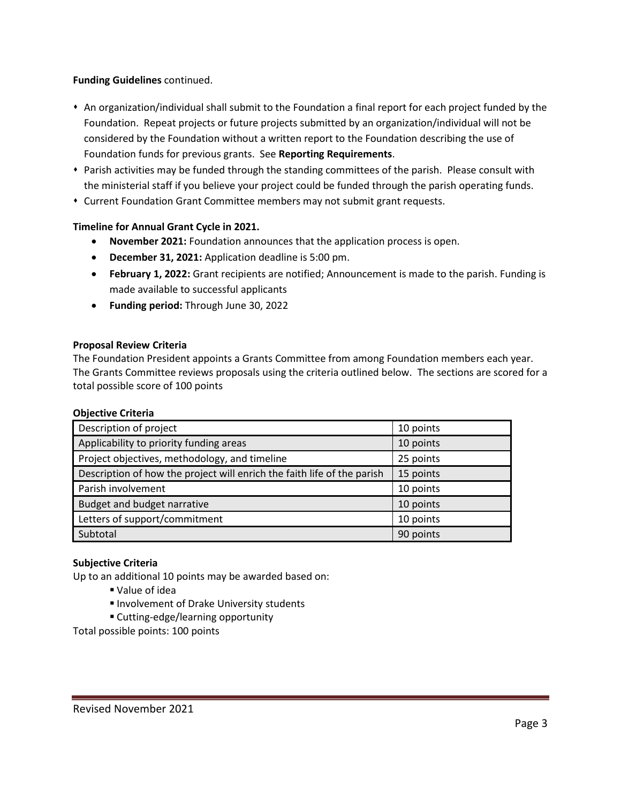# **Funding Guidelines** continued.

- ⬧ An organization/individual shall submit to the Foundation a final report for each project funded by the Foundation. Repeat projects or future projects submitted by an organization/individual will not be considered by the Foundation without a written report to the Foundation describing the use of Foundation funds for previous grants. See **Reporting Requirements**.
- ⬧ Parish activities may be funded through the standing committees of the parish. Please consult with the ministerial staff if you believe your project could be funded through the parish operating funds.
- ⬧ Current Foundation Grant Committee members may not submit grant requests.

# **Timeline for Annual Grant Cycle in 2021.**

- **November 2021:** Foundation announces that the application process is open.
- **December 31, 2021:** Application deadline is 5:00 pm.
- **February 1, 2022:** Grant recipients are notified; Announcement is made to the parish. Funding is made available to successful applicants
- **Funding period:** Through June 30, 2022

# **Proposal Review Criteria**

The Foundation President appoints a Grants Committee from among Foundation members each year. The Grants Committee reviews proposals using the criteria outlined below. The sections are scored for a total possible score of 100 points

#### **Objective Criteria**

| Description of project                                                  | 10 points |
|-------------------------------------------------------------------------|-----------|
| Applicability to priority funding areas                                 | 10 points |
| Project objectives, methodology, and timeline                           | 25 points |
| Description of how the project will enrich the faith life of the parish | 15 points |
| Parish involvement                                                      | 10 points |
| Budget and budget narrative                                             | 10 points |
| Letters of support/commitment                                           | 10 points |
| Subtotal                                                                | 90 points |

# **Subjective Criteria**

Up to an additional 10 points may be awarded based on:

- Value of idea
- Involvement of Drake University students
- Cutting-edge/learning opportunity

Total possible points: 100 points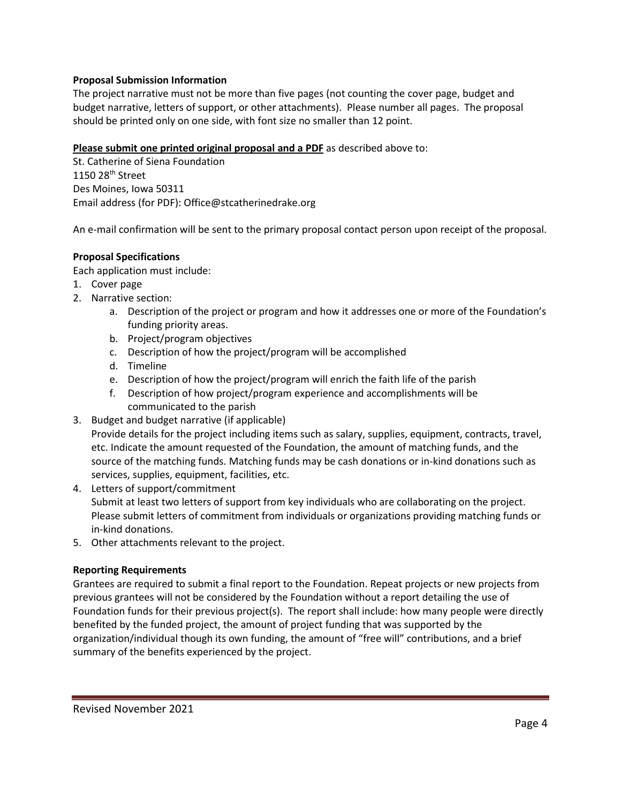# **Proposal Submission Information**

The project narrative must not be more than five pages (not counting the cover page, budget and budget narrative, letters of support, or other attachments). Please number all pages. The proposal should be printed only on one side, with font size no smaller than 12 point.

# **Please submit one printed original proposal and a PDF** as described above to:

St. Catherine of Siena Foundation 1150 28th Street Des Moines, Iowa 50311 Email address (for PDF): Office@stcatherinedrake.org

An e-mail confirmation will be sent to the primary proposal contact person upon receipt of the proposal.

# **Proposal Specifications**

Each application must include:

- 1. Cover page
- 2. Narrative section:
	- a. Description of the project or program and how it addresses one or more of the Foundation's funding priority areas.
	- b. Project/program objectives
	- c. Description of how the project/program will be accomplished
	- d. Timeline
	- e. Description of how the project/program will enrich the faith life of the parish
	- f. Description of how project/program experience and accomplishments will be communicated to the parish
- 3. Budget and budget narrative (if applicable) Provide details for the project including items such as salary, supplies, equipment, contracts, travel, etc. Indicate the amount requested of the Foundation, the amount of matching funds, and the source of the matching funds. Matching funds may be cash donations or in-kind donations such as services, supplies, equipment, facilities, etc.
- 4. Letters of support/commitment Submit at least two letters of support from key individuals who are collaborating on the project. Please submit letters of commitment from individuals or organizations providing matching funds or in-kind donations.
- 5. Other attachments relevant to the project.

#### **Reporting Requirements**

Grantees are required to submit a final report to the Foundation. Repeat projects or new projects from previous grantees will not be considered by the Foundation without a report detailing the use of Foundation funds for their previous project(s). The report shall include: how many people were directly benefited by the funded project, the amount of project funding that was supported by the organization/individual though its own funding, the amount of "free will" contributions, and a brief summary of the benefits experienced by the project.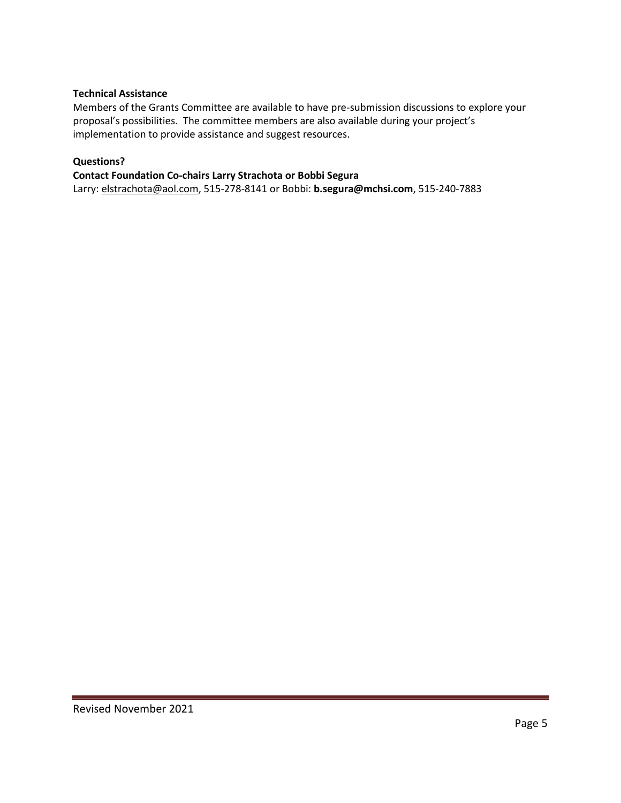# **Technical Assistance**

Members of the Grants Committee are available to have pre-submission discussions to explore your proposal's possibilities. The committee members are also available during your project's implementation to provide assistance and suggest resources.

# **Questions?**

#### **Contact Foundation Co-chairs Larry Strachota or Bobbi Segura**

Larry: [elstrachota@aol.com,](mailto:elstrachota@aol.com) 515-278-8141 or Bobbi: **[b.segura@mchsi.com](mailto:b.segura@mchsi.com)**, 515-240-7883